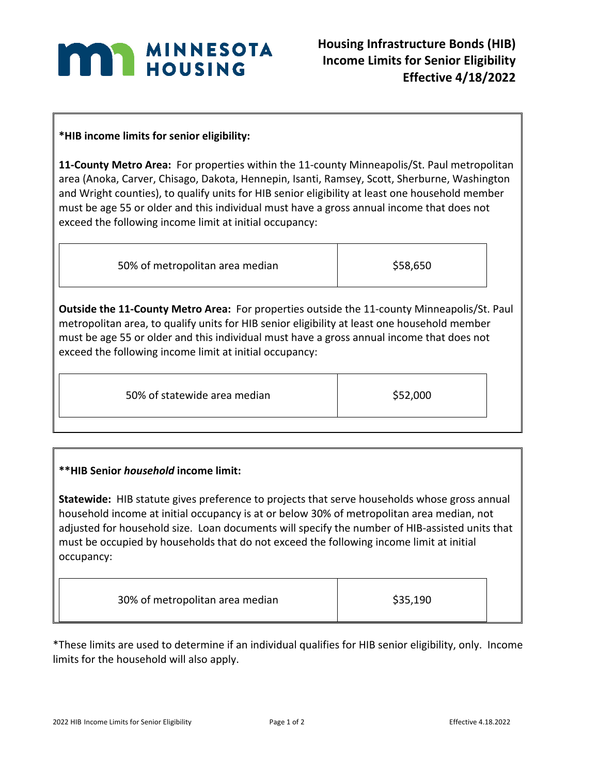

## **\*HIB income limits for senior eligibility:**

**11-County Metro Area:** For properties within the 11-county Minneapolis/St. Paul metropolitan area (Anoka, Carver, Chisago, Dakota, Hennepin, Isanti, Ramsey, Scott, Sherburne, Washington and Wright counties), to qualify units for HIB senior eligibility at least one household member must be age 55 or older and this individual must have a gross annual income that does not exceed the following income limit at initial occupancy:

| 50% of metropolitan area median | \$58,650 |
|---------------------------------|----------|
|                                 |          |

**Outside the 11-County Metro Area:** For properties outside the 11-county Minneapolis/St. Paul metropolitan area, to qualify units for HIB senior eligibility at least one household member must be age 55 or older and this individual must have a gross annual income that does not exceed the following income limit at initial occupancy:

| 50% of statewide area median | \$52,000 |
|------------------------------|----------|

## **\*\*HIB Senior** *household* **income limit:**

**Statewide:** HIB statute gives preference to projects that serve households whose gross annual household income at initial occupancy is at or below 30% of metropolitan area median, not adjusted for household size. Loan documents will specify the number of HIB-assisted units that must be occupied by households that do not exceed the following income limit at initial occupancy:

| 30% of metropolitan area median | \$35,190 |  |
|---------------------------------|----------|--|
|---------------------------------|----------|--|

\*These limits are used to determine if an individual qualifies for HIB senior eligibility, only. Income limits for the household will also apply.